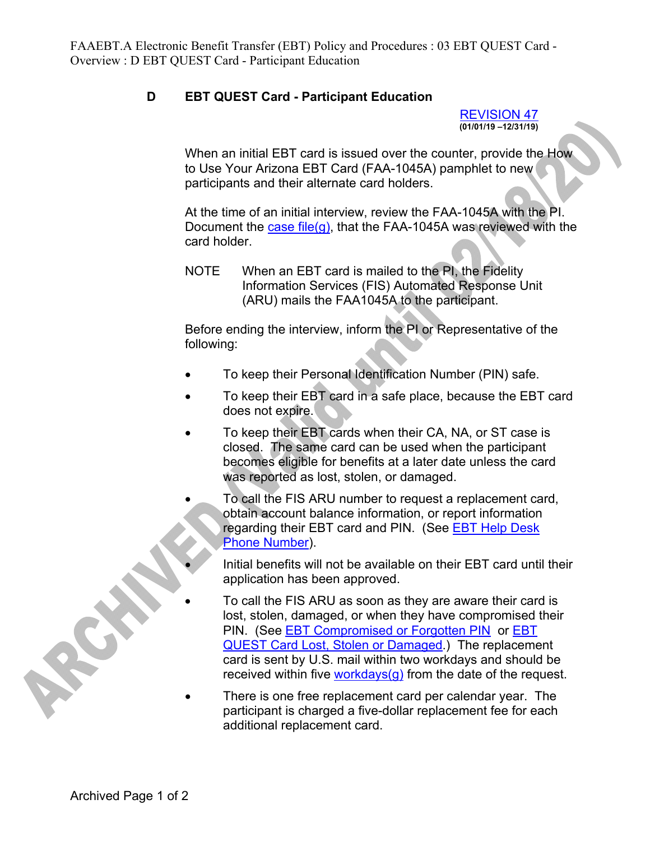## **D EBT QUEST Card - Participant Education**

REVISION 47 **(01/01/19 –12/31/19)** 

When an initial EBT card is issued over the counter, provide the How to Use Your Arizona EBT Card (FAA-1045A) pamphlet to new participants and their alternate card holders.

At the time of an initial interview, review the FAA-1045A with the PI. Document the case file(g), that the FAA-1045A was reviewed with the card holder.

NOTE When an EBT card is mailed to the PI, the Fidelity Information Services (FIS) Automated Response Unit (ARU) mails the FAA1045A to the participant.

Before ending the interview, inform the PI or Representative of the following:

- To keep their Personal Identification Number (PIN) safe.
- To keep their EBT card in a safe place, because the EBT card does not expire.
- To keep their EBT cards when their CA, NA, or ST case is closed. The same card can be used when the participant becomes eligible for benefits at a later date unless the card was reported as lost, stolen, or damaged.
	- To call the FIS ARU number to request a replacement card, obtain account balance information, or report information regarding their EBT card and PIN. (See **EBT Help Desk** Phone Number).
		- Initial benefits will not be available on their EBT card until their application has been approved.
	- To call the FIS ARU as soon as they are aware their card is lost, stolen, damaged, or when they have compromised their PIN. (See EBT Compromised or Forgotten PIN or EBT QUEST Card Lost, Stolen or Damaged.) The replacement card is sent by U.S. mail within two workdays and should be received within five workdays( $q$ ) from the date of the request.
- There is one free replacement card per calendar year. The participant is charged a five-dollar replacement fee for each additional replacement card.